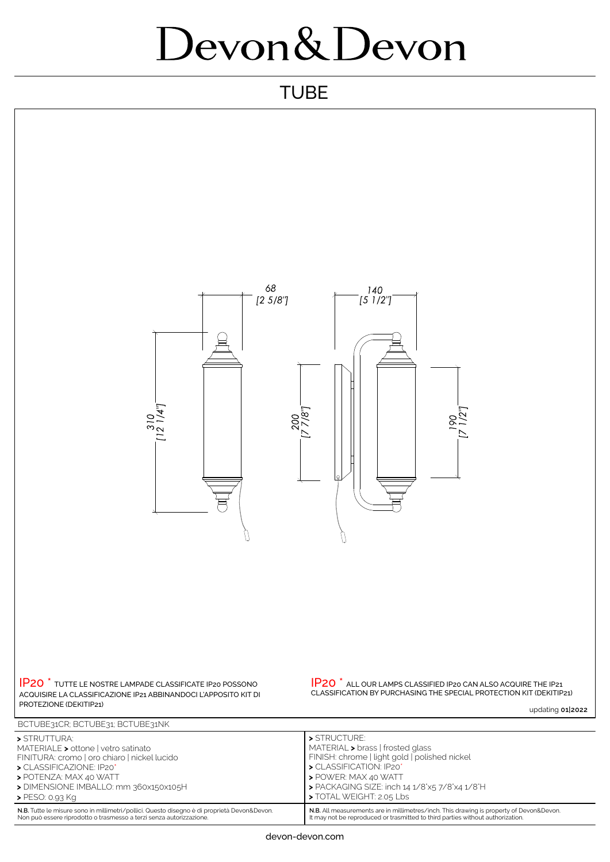## Devon&Devon

## **TUBE**